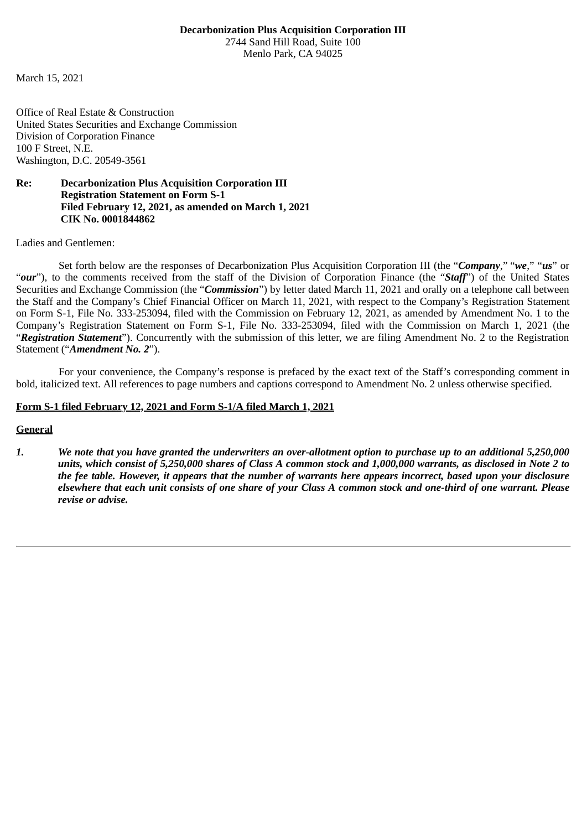#### **Decarbonization Plus Acquisition Corporation III** 2744 Sand Hill Road, Suite 100 Menlo Park, CA 94025

March 15, 2021

Office of Real Estate & Construction United States Securities and Exchange Commission Division of Corporation Finance 100 F Street, N.E. Washington, D.C. 20549-3561

### **Re: Decarbonization Plus Acquisition Corporation III Registration Statement on Form S-1 Filed February 12, 2021, as amended on March 1, 2021 CIK No. 0001844862**

Ladies and Gentlemen:

Set forth below are the responses of Decarbonization Plus Acquisition Corporation III (the "*Company*," "*we*," "*us*" or "*our*"), to the comments received from the staff of the Division of Corporation Finance (the "*Staff*") of the United States Securities and Exchange Commission (the "*Commission*") by letter dated March 11, 2021 and orally on a telephone call between the Staff and the Company's Chief Financial Officer on March 11, 2021, with respect to the Company's Registration Statement on Form S-1, File No. 333-253094, filed with the Commission on February 12, 2021, as amended by Amendment No. 1 to the Company's Registration Statement on Form S-1, File No. 333-253094, filed with the Commission on March 1, 2021 (the "*Registration Statement*"). Concurrently with the submission of this letter, we are filing Amendment No. 2 to the Registration Statement ("*Amendment No. 2*").

For your convenience, the Company's response is prefaced by the exact text of the Staff's corresponding comment in bold, italicized text. All references to page numbers and captions correspond to Amendment No. 2 unless otherwise specified.

#### **Form S-1 filed February 12, 2021 and Form S-1/A filed March 1, 2021**

### **General**

*1. We note that you have granted the underwriters an over-allotment option to purchase up to an additional 5,250,000 units, which consist of 5,250,000 shares of Class A common stock and 1,000,000 warrants, as disclosed in Note 2 to the fee table. However, it appears that the number of warrants here appears incorrect, based upon your disclosure elsewhere that each unit consists of one share of your Class A common stock and one-third of one warrant. Please revise or advise.*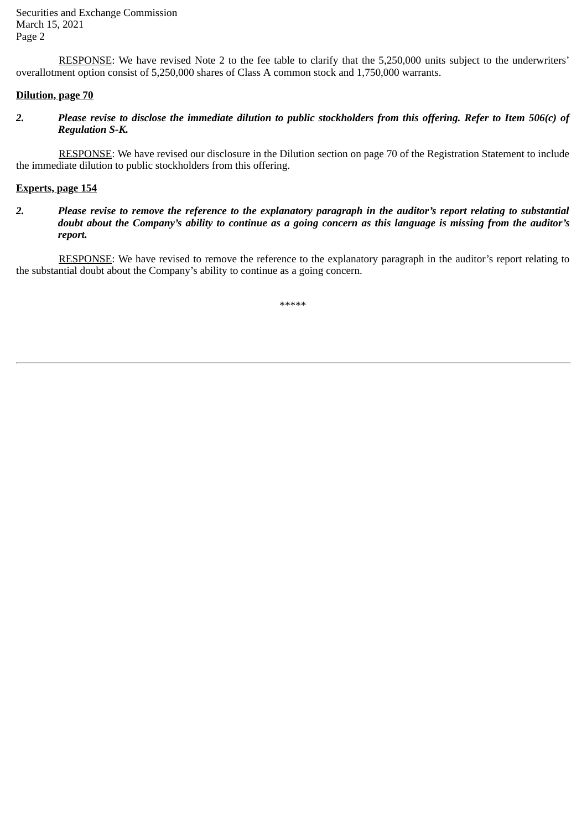Securities and Exchange Commission March 15, 2021 Page 2

RESPONSE: We have revised Note 2 to the fee table to clarify that the 5,250,000 units subject to the underwriters' overallotment option consist of 5,250,000 shares of Class A common stock and 1,750,000 warrants.

## **Dilution, page 70**

*2. Please revise to disclose the immediate dilution to public stockholders from this offering. Refer to Item 506(c) of Regulation S-K.*

RESPONSE: We have revised our disclosure in the Dilution section on page 70 of the Registration Statement to include the immediate dilution to public stockholders from this offering.

# **Experts, page 154**

*2. Please revise to remove the reference to the explanatory paragraph in the auditor's report relating to substantial doubt about the Company's ability to continue as a going concern as this language is missing from the auditor's report.*

RESPONSE: We have revised to remove the reference to the explanatory paragraph in the auditor's report relating to the substantial doubt about the Company's ability to continue as a going concern.

\*\*\*\*\*